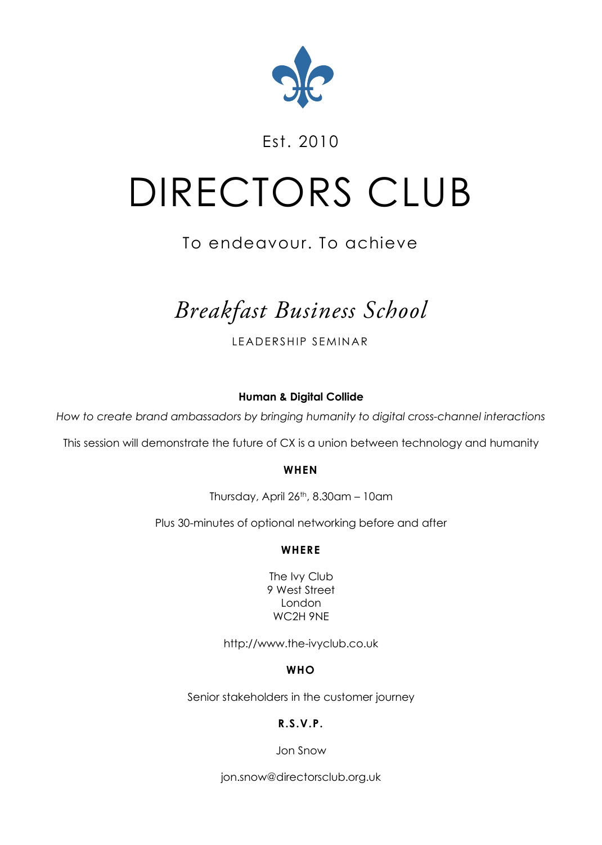

# Est. 2010

# DIRECTORS CLUB

# To endeavour. To achieve

# *Breakfast Business School*

LEADERSHIP SEMINAR

**Human & Digital Collide**

*How to create brand ambassadors by bringing humanity to digital cross-channel interactions*

This session will demonstrate the future of CX is a union between technology and humanity

#### **WHEN**

Thursday, April 26th, 8.30am – 10am

Plus 30-minutes of optional networking before and after

### **WHERE**

The Ivy Club 9 West Street London WC2H 9NE

http://www.the-ivyclub.co.uk

# **WHO**

Senior stakeholders in the customer journey

# **R.S.V.P.**

Jon Snow

jon.snow@directorsclub.org.uk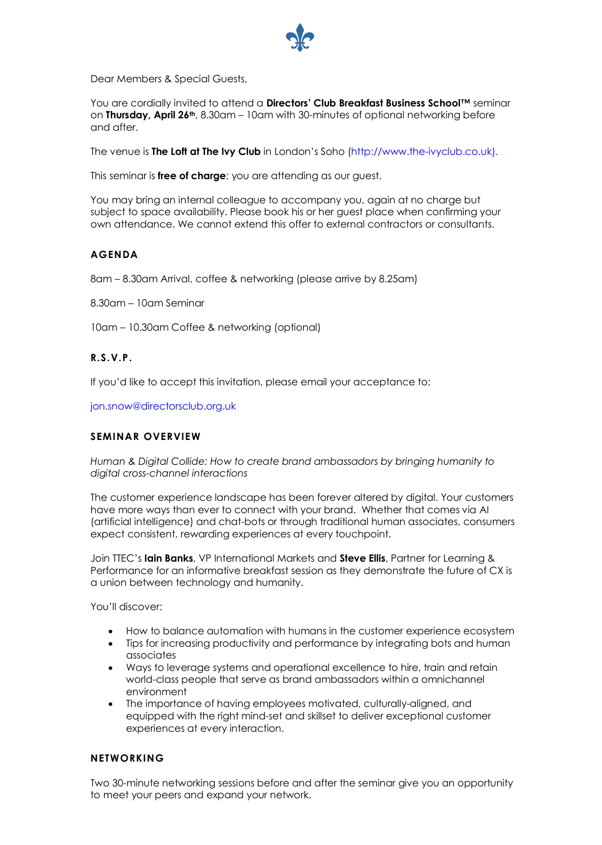

Dear Members & Special Guests,

You are cordially invited to attend a **Directors' Club Breakfast Business School™** seminar on **Thursday, April 26th**, 8.30am – 10am with 30-minutes of optional networking before and after.

The venue is **The Loft at The Ivy Club** in London's Soho (http://www.the-ivyclub.co.uk).

This seminar is **free of charge**; you are attending as our quest.

You may bring an internal colleague to accompany you, again at no charge but subject to space availability. Please book his or her guest place when confirming your own attendance. We cannot extend this offer to external contractors or consultants.

#### **AGENDA**

8am – 8.30am Arrival, coffee & networking (please arrive by 8.25am)

8.30am – 10am Seminar

10am – 10.30am Coffee & networking (optional)

#### **R.S.V.P.**

If you'd like to accept this invitation, please email your acceptance to:

jon.snow@directorsclub.org.uk

#### **SEMINAR OVERVIEW**

*Human & Digital Collide: How to create brand ambassadors by bringing humanity to digital cross-channel interactions*

The customer experience landscape has been forever altered by digital. Your customers have more ways than ever to connect with your brand. Whether that comes via AI (artificial intelligence) and chat-bots or through traditional human associates, consumers expect consistent, rewarding experiences at every touchpoint.

Join TTEC's **Iain Banks**, VP International Markets and **Steve Ellis**, Partner for Learning & Performance for an informative breakfast session as they demonstrate the future of CX is a union between technology and humanity.

You'll discover:

- How to balance automation with humans in the customer experience ecosystem
- Tips for increasing productivity and performance by integrating bots and human associates
- Ways to leverage systems and operational excellence to hire, train and retain world-class people that serve as brand ambassadors within a omnichannel environment
- The importance of having employees motivated, culturally-aligned, and equipped with the right mind-set and skillset to deliver exceptional customer experiences at every interaction.

#### **NETWORKING**

Two 30-minute networking sessions before and after the seminar give you an opportunity to meet your peers and expand your network.